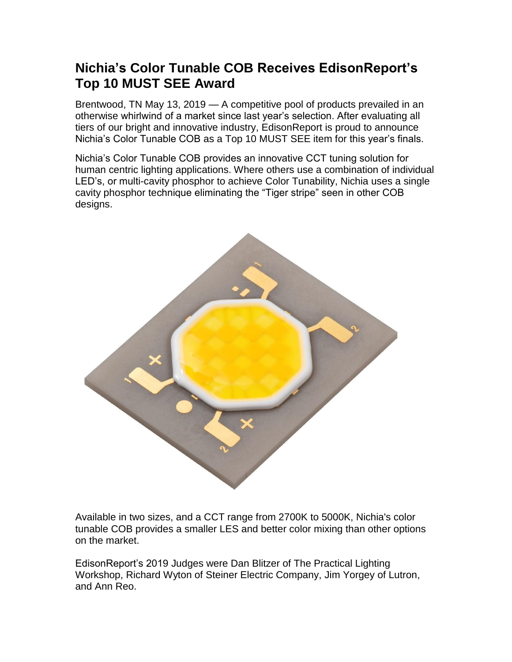## **Nichia's Color Tunable COB Receives EdisonReport's Top 10 MUST SEE Award**

Brentwood, TN May 13, 2019 — A competitive pool of products prevailed in an otherwise whirlwind of a market since last year's selection. After evaluating all tiers of our bright and innovative industry, EdisonReport is proud to announce Nichia's Color Tunable COB as a Top 10 MUST SEE item for this year's finals.

Nichia's Color Tunable COB provides an innovative CCT tuning solution for human centric lighting applications. Where others use a combination of individual LED's, or multi-cavity phosphor to achieve Color Tunability, Nichia uses a single cavity phosphor technique eliminating the "Tiger stripe" seen in other COB designs.



Available in two sizes, and a CCT range from 2700K to 5000K, Nichia's color tunable COB provides a smaller LES and better color mixing than other options on the market.

EdisonReport's 2019 Judges were Dan Blitzer of The Practical Lighting Workshop, Richard Wyton of Steiner Electric Company, Jim Yorgey of Lutron, and Ann Reo.